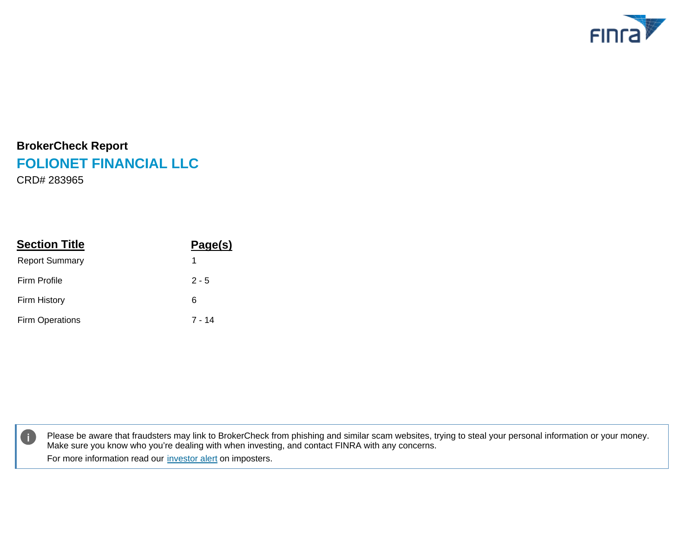

# **BrokerCheck Report FOLIONET FINANCIAL LLC**

CRD# 283965

| <b>Section Title</b>   | Page(s) |
|------------------------|---------|
| <b>Report Summary</b>  | 1       |
| <b>Firm Profile</b>    | $2 - 5$ |
| <b>Firm History</b>    | 6       |
| <b>Firm Operations</b> | 7 - 14  |



Please be aware that fraudsters may link to BrokerCheck from phishing and similar scam websites, trying to steal your personal information or your money. Make sure you know who you're dealing with when investing, and contact FINRA with any concerns. For more information read our [investor alert](https://www.finra.org/bc-alert) on imposters.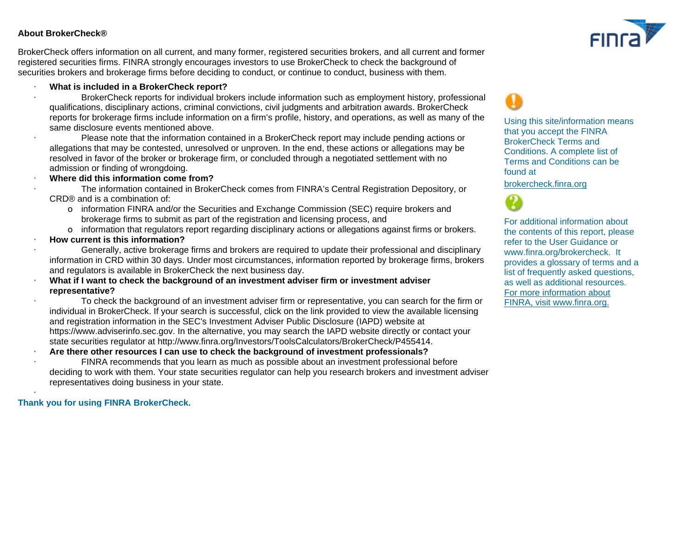#### **About BrokerCheck®**

BrokerCheck offers information on all current, and many former, registered securities brokers, and all current and former registered securities firms. FINRA strongly encourages investors to use BrokerCheck to check the background of securities brokers and brokerage firms before deciding to conduct, or continue to conduct, business with them.

#### · **What is included in a BrokerCheck report?**

· BrokerCheck reports for individual brokers include information such as employment history, professional qualifications, disciplinary actions, criminal convictions, civil judgments and arbitration awards. BrokerCheck reports for brokerage firms include information on a firm's profile, history, and operations, as well as many of the same disclosure events mentioned above.

· Please note that the information contained in a BrokerCheck report may include pending actions or allegations that may be contested, unresolved or unproven. In the end, these actions or allegations may be resolved in favor of the broker or brokerage firm, or concluded through a negotiated settlement with no admission or finding of wrongdoing.

#### · **Where did this information come from?**

· The information contained in BrokerCheck comes from FINRA's Central Registration Depository, or CRD® and is a combination of:

- o information FINRA and/or the Securities and Exchange Commission (SEC) require brokers and brokerage firms to submit as part of the registration and licensing process, and
- o information that regulators report regarding disciplinary actions or allegations against firms or brokers.
- · **How current is this information?**

· Generally, active brokerage firms and brokers are required to update their professional and disciplinary information in CRD within 30 days. Under most circumstances, information reported by brokerage firms, brokers and regulators is available in BrokerCheck the next business day.

#### · **What if I want to check the background of an investment adviser firm or investment adviser representative?**

· To check the background of an investment adviser firm or representative, you can search for the firm or individual in BrokerCheck. If your search is successful, click on the link provided to view the available licensing and registration information in the SEC's Investment Adviser Public Disclosure (IAPD) website at [https://www.adviserinfo.sec.gov. I](https://www.AdviserInfo.sec.gov)n the alternative, you may search the IAPD website directly or contact your state securities regulator at [http://www.finra.org/Investors/ToolsCalculators/BrokerCheck/P455414.](http://www.finra.org/Investors/ToolsCalculators/BrokerCheck/P455414)

· **Are there other resources I can use to check the background of investment professionals?**

FINRA recommends that you learn as much as possible about an investment professional before deciding to work with them. Your state securities regulator can help you research brokers and investment adviser representatives doing business in your state.

#### **Thank you for using FINRA BrokerCheck.**

·



Using this site/information means that you accept the FINRA BrokerCheck Terms and Conditions. A complete list of Terms and Conditions can be found at

#### [brokercheck.finra.org](http://brokercheck.finra.org/Support/Terms)

[For more information about](http://www.finra.org) FINRA, visit www.finra.org. For additional information about the contents of this report, please refer to the User Guidance or www.finra.org/brokercheck. It provides a glossary of terms and a list of frequently asked questions, as well as additional resources.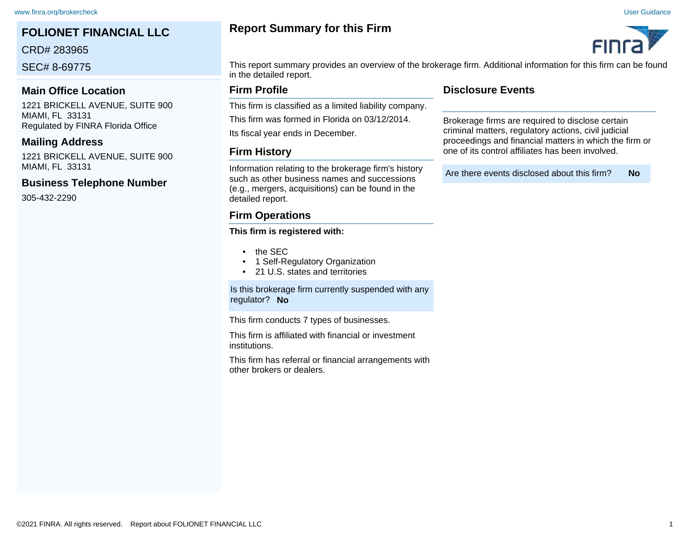# **FOLIONET FINANCIAL LLC**

CRD# 283965

SEC# 8-69775

#### **Main Office Location**

1221 BRICKELL AVENUE, SUITE 900 MIAMI, FL 33131 Regulated by FINRA Florida Office

#### **Mailing Address**

1221 BRICKELL AVENUE, SUITE 900 MIAMI, FL 33131

#### **Business Telephone Number**

305-432-2290

# **Report Summary for this Firm**





This report summary provides an overview of the brokerage firm. Additional information for this firm can be found in the detailed report.

#### **Firm Profile**

This firm is classified as a limited liability company.

This firm was formed in Florida on 03/12/2014.

Its fiscal year ends in December.

#### **Firm History**

Information relating to the brokerage firm's history such as other business names and successions (e.g., mergers, acquisitions) can be found in the detailed report.

#### **Firm Operations**

#### **This firm is registered with:**

- the SEC
- 1 Self-Regulatory Organization
- 21 U.S. states and territories

Is this brokerage firm currently suspended with any regulator? **No**

This firm conducts 7 types of businesses.

This firm is affiliated with financial or investment institutions.

This firm has referral or financial arrangements with other brokers or dealers.

#### **Disclosure Events**

Brokerage firms are required to disclose certain criminal matters, regulatory actions, civil judicial proceedings and financial matters in which the firm or one of its control affiliates has been involved.

Are there events disclosed about this firm? **No**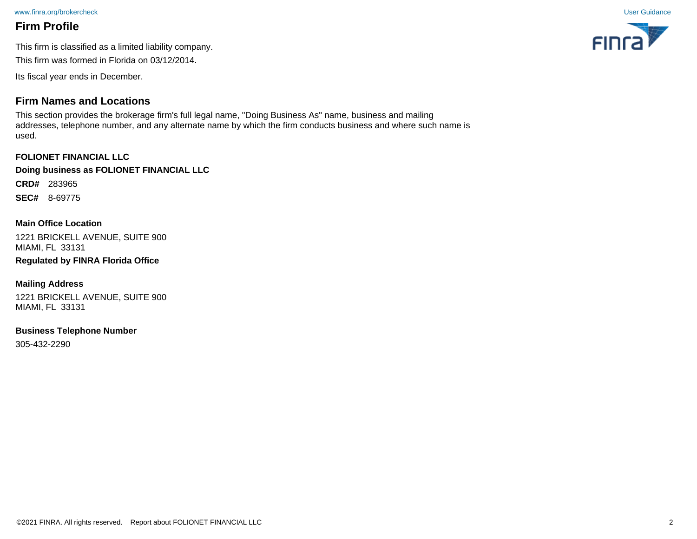[www.finra.org/brokercheck](http://www.finra.org/brokercheck) [User Guidance](http://www.finra.org/brokercheck_reports) User Guidance

# **Firm Profile**

This firm is classified as a limited liability company.

This firm was formed in Florida on 03/12/2014.

Its fiscal year ends in December.

# **Firm Names and Locations**

This section provides the brokerage firm's full legal name, "Doing Business As" name, business and mailing addresses, telephone number, and any alternate name by which the firm conducts business and where such name is used.

**FOLIONET FINANCIAL LLC Doing business as FOLIONET FINANCIAL LLC**

**CRD#** 283965

**SEC#** 8-69775

#### **Main Office Location**

1221 BRICKELL AVENUE, SUITE 900 MIAMI, FL 33131

# **Regulated by FINRA Florida Office**

#### **Mailing Address**

1221 BRICKELL AVENUE, SUITE 900 MIAMI, FL 33131

#### **Business Telephone Number**

305-432-2290

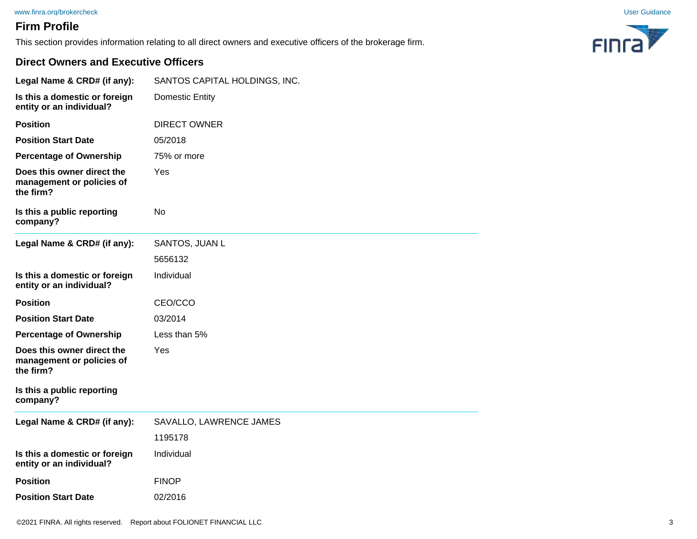#### [www.finra.org/brokercheck](http://www.finra.org/brokercheck) [User Guidance](http://www.finra.org/brokercheck_reports)

# **Firm Profile**

This section provides information relating to all direct owners and executive officers of the brokerage firm.



#### **Direct Owners and Executive Officers**

| Legal Name & CRD# (if any):                                          | SANTOS CAPITAL HOLDINGS, INC. |
|----------------------------------------------------------------------|-------------------------------|
| Is this a domestic or foreign<br>entity or an individual?            | <b>Domestic Entity</b>        |
| <b>Position</b>                                                      | <b>DIRECT OWNER</b>           |
| <b>Position Start Date</b>                                           | 05/2018                       |
| <b>Percentage of Ownership</b>                                       | 75% or more                   |
| Does this owner direct the<br>management or policies of<br>the firm? | Yes                           |
| Is this a public reporting<br>company?                               | <b>No</b>                     |
| Legal Name & CRD# (if any):                                          | SANTOS, JUAN L                |
|                                                                      | 5656132                       |
| Is this a domestic or foreign<br>entity or an individual?            | Individual                    |
| <b>Position</b>                                                      | CEO/CCO                       |
| <b>Position Start Date</b>                                           | 03/2014                       |
| <b>Percentage of Ownership</b>                                       | Less than 5%                  |
| Does this owner direct the<br>management or policies of<br>the firm? | Yes                           |
| Is this a public reporting<br>company?                               |                               |
| Legal Name & CRD# (if any):                                          | SAVALLO, LAWRENCE JAMES       |
|                                                                      | 1195178                       |
| Is this a domestic or foreign<br>entity or an individual?            | Individual                    |
| <b>Position</b>                                                      | <b>FINOP</b>                  |
| <b>Position Start Date</b>                                           | 02/2016                       |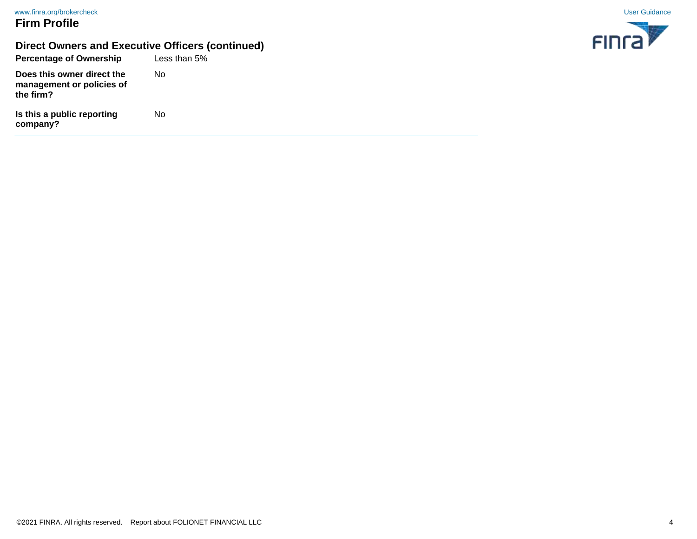# **Firm Profile**

# **Direct Owners and Executive Officers (continued)**

**Percentage of Ownership Is this a public reporting company? Does this owner direct the management or policies of the firm?** Less than 5% No No

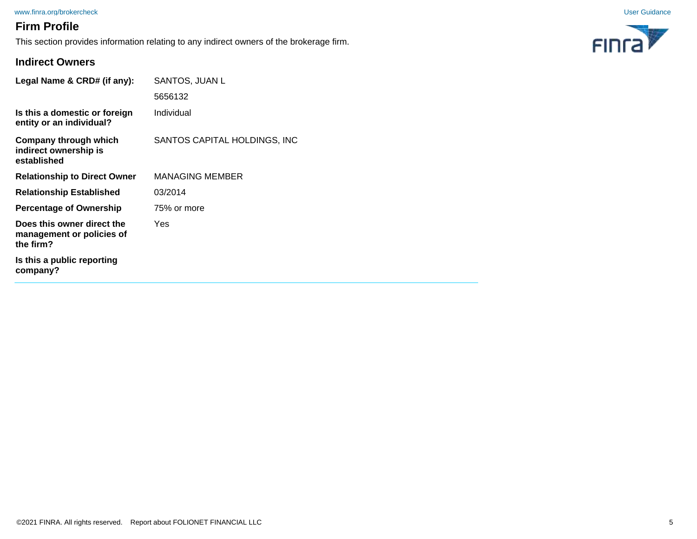#### [www.finra.org/brokercheck](http://www.finra.org/brokercheck) [User Guidance](http://www.finra.org/brokercheck_reports) User Guidance

# **Firm Profile**

This section provides information relating to any indirect owners of the brokerage firm.



#### **Indirect Owners**

| Legal Name & CRD# (if any):                                          | SANTOS, JUAN L               |
|----------------------------------------------------------------------|------------------------------|
|                                                                      | 5656132                      |
| Is this a domestic or foreign<br>entity or an individual?            | Individual                   |
| Company through which<br>indirect ownership is<br>established        | SANTOS CAPITAL HOLDINGS, INC |
| <b>Relationship to Direct Owner</b>                                  | <b>MANAGING MEMBER</b>       |
| <b>Relationship Established</b>                                      | 03/2014                      |
| <b>Percentage of Ownership</b>                                       | 75% or more                  |
| Does this owner direct the<br>management or policies of<br>the firm? | Yes                          |
| Is this a public reporting<br>company?                               |                              |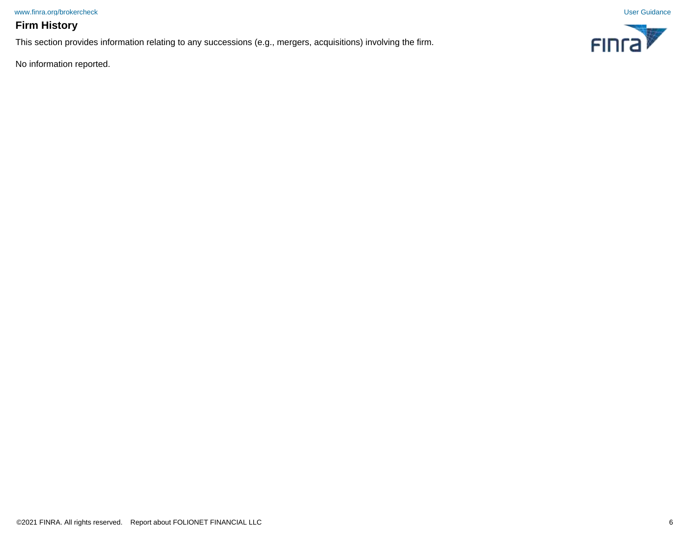[www.finra.org/brokercheck](http://www.finra.org/brokercheck) [User Guidance](http://www.finra.org/brokercheck_reports)

## **Firm History**

This section provides information relating to any successions (e.g., mergers, acquisitions) involving the firm.

No information reported.

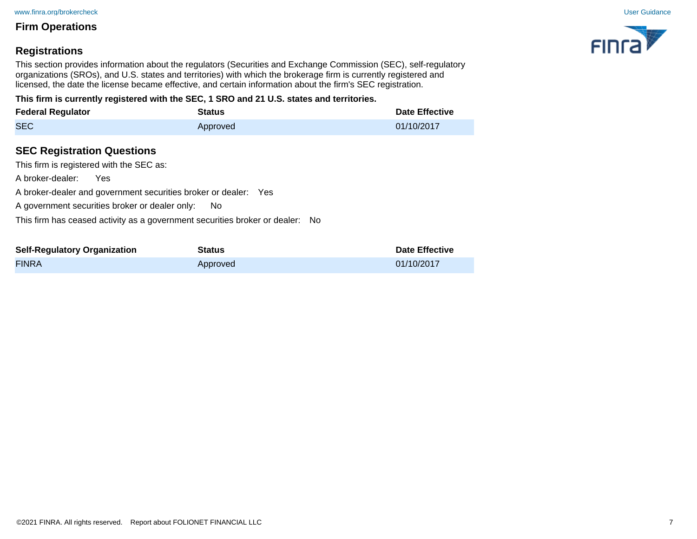## **Registrations**

This section provides information about the regulators (Securities and Exchange Commission (SEC), self-regulatory organizations (SROs), and U.S. states and territories) with which the brokerage firm is currently registered and licensed, the date the license became effective, and certain information about the firm's SEC registration.

**This firm is currently registered with the SEC, 1 SRO and 21 U.S. states and territories.**

| <b>Federal Regulator</b>                                                                                                                                   | <b>Status</b>                                                                                                                                           | <b>Date Effective</b> |
|------------------------------------------------------------------------------------------------------------------------------------------------------------|---------------------------------------------------------------------------------------------------------------------------------------------------------|-----------------------|
| <b>SEC</b>                                                                                                                                                 | Approved                                                                                                                                                | 01/10/2017            |
| <b>SEC Registration Questions</b><br>This firm is registered with the SEC as:<br>A broker-dealer:<br>Yes<br>A government securities broker or dealer only: | A broker-dealer and government securities broker or dealer: Yes<br>No.<br>This firm has ceased activity as a government securities broker or dealer: No |                       |
| <b>Self-Regulatory Organization</b>                                                                                                                        | <b>Status</b>                                                                                                                                           | <b>Date Effective</b> |

FINRA Approved 01/10/2017

**FING** 

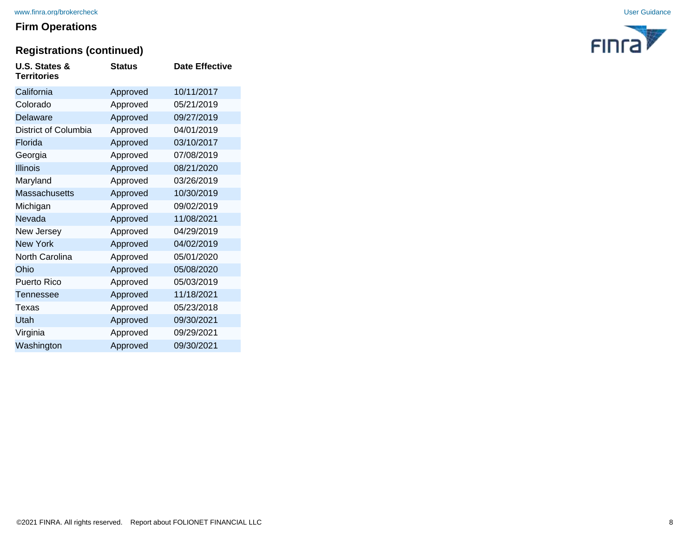# **Registrations (continued)**

| U.S. States &<br><b>Territories</b> | <b>Status</b> | <b>Date Effective</b> |
|-------------------------------------|---------------|-----------------------|
| California                          | Approved      | 10/11/2017            |
| Colorado                            | Approved      | 05/21/2019            |
| Delaware                            | Approved      | 09/27/2019            |
| District of Columbia                | Approved      | 04/01/2019            |
| Florida                             | Approved      | 03/10/2017            |
| Georgia                             | Approved      | 07/08/2019            |
| <b>Illinois</b>                     | Approved      | 08/21/2020            |
| Maryland                            | Approved      | 03/26/2019            |
| <b>Massachusetts</b>                | Approved      | 10/30/2019            |
| Michigan                            | Approved      | 09/02/2019            |
| Nevada                              | Approved      | 11/08/2021            |
| New Jersey                          | Approved      | 04/29/2019            |
| <b>New York</b>                     | Approved      | 04/02/2019            |
| North Carolina                      | Approved      | 05/01/2020            |
| Ohio                                | Approved      | 05/08/2020            |
| <b>Puerto Rico</b>                  | Approved      | 05/03/2019            |
| Tennessee                           | Approved      | 11/18/2021            |
| Texas                               | Approved      | 05/23/2018            |
| Utah                                | Approved      | 09/30/2021            |
| Virginia                            | Approved      | 09/29/2021            |
| Washington                          | Approved      | 09/30/2021            |

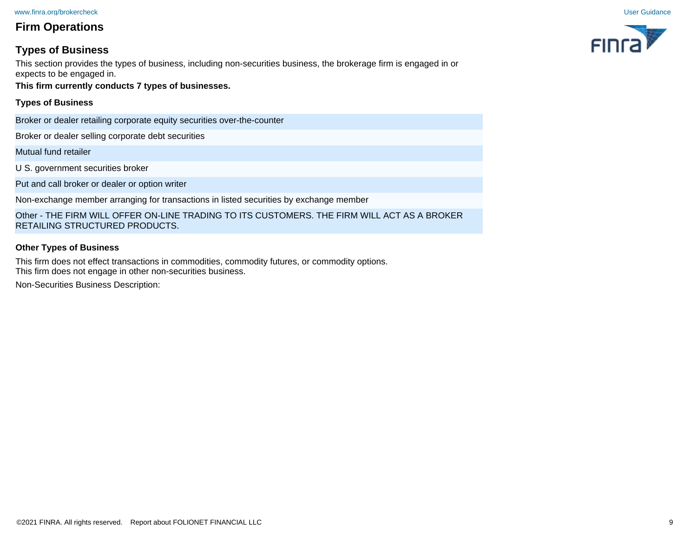## **Types of Business**

This section provides the types of business, including non-securities business, the brokerage firm is engaged in or expects to be engaged in.

**This firm currently conducts 7 types of businesses.**

#### **Types of Business**

Broker or dealer retailing corporate equity securities over-the-counter

Broker or dealer selling corporate debt securities

Mutual fund retailer

U S. government securities broker

Put and call broker or dealer or option writer

Non-exchange member arranging for transactions in listed securities by exchange member

Other - THE FIRM WILL OFFER ON-LINE TRADING TO ITS CUSTOMERS. THE FIRM WILL ACT AS A BROKER RETAILING STRUCTURED PRODUCTS.

#### **Other Types of Business**

This firm does not effect transactions in commodities, commodity futures, or commodity options. This firm does not engage in other non-securities business.

Non-Securities Business Description:

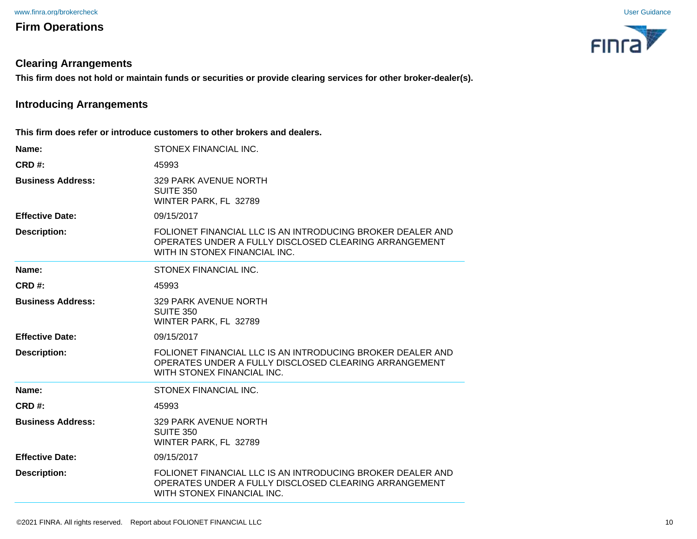#### **Clearing Arrangements**

**This firm does not hold or maintain funds or securities or provide clearing services for other broker-dealer(s).**

# **Introducing Arrangements**

**This firm does refer or introduce customers to other brokers and dealers.**

| Name:                    | STONEX FINANCIAL INC.                                                                                                                                |
|--------------------------|------------------------------------------------------------------------------------------------------------------------------------------------------|
| <b>CRD#:</b>             | 45993                                                                                                                                                |
| <b>Business Address:</b> | 329 PARK AVENUE NORTH<br><b>SUITE 350</b><br>WINTER PARK, FL 32789                                                                                   |
| <b>Effective Date:</b>   | 09/15/2017                                                                                                                                           |
| <b>Description:</b>      | FOLIONET FINANCIAL LLC IS AN INTRODUCING BROKER DEALER AND<br>OPERATES UNDER A FULLY DISCLOSED CLEARING ARRANGEMENT<br>WITH IN STONEX FINANCIAL INC. |
| Name:                    | STONEX FINANCIAL INC.                                                                                                                                |
| CRD#                     | 45993                                                                                                                                                |
| <b>Business Address:</b> | 329 PARK AVENUE NORTH<br><b>SUITE 350</b><br>WINTER PARK, FL 32789                                                                                   |
| <b>Effective Date:</b>   | 09/15/2017                                                                                                                                           |
| <b>Description:</b>      | FOLIONET FINANCIAL LLC IS AN INTRODUCING BROKER DEALER AND<br>OPERATES UNDER A FULLY DISCLOSED CLEARING ARRANGEMENT<br>WITH STONEX FINANCIAL INC.    |
| Name:                    | STONEX FINANCIAL INC.                                                                                                                                |
| <b>CRD#:</b>             | 45993                                                                                                                                                |
| <b>Business Address:</b> | 329 PARK AVENUE NORTH<br><b>SUITE 350</b><br>WINTER PARK, FL 32789                                                                                   |
| <b>Effective Date:</b>   | 09/15/2017                                                                                                                                           |
| <b>Description:</b>      | FOLIONET FINANCIAL LLC IS AN INTRODUCING BROKER DEALER AND<br>OPERATES UNDER A FULLY DISCLOSED CLEARING ARRANGEMENT<br>WITH STONEX FINANCIAL INC.    |



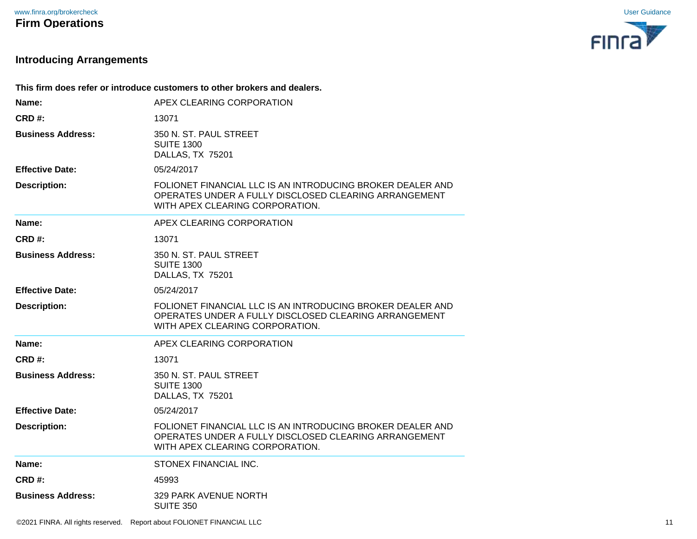

# **Introducing Arrangements**

|                          | This firm does refer or introduce customers to other brokers and dealers.                                                                              |
|--------------------------|--------------------------------------------------------------------------------------------------------------------------------------------------------|
| Name:                    | APEX CLEARING CORPORATION                                                                                                                              |
| <b>CRD#:</b>             | 13071                                                                                                                                                  |
| <b>Business Address:</b> | 350 N. ST. PAUL STREET<br><b>SUITE 1300</b><br>DALLAS, TX 75201                                                                                        |
| <b>Effective Date:</b>   | 05/24/2017                                                                                                                                             |
| <b>Description:</b>      | FOLIONET FINANCIAL LLC IS AN INTRODUCING BROKER DEALER AND<br>OPERATES UNDER A FULLY DISCLOSED CLEARING ARRANGEMENT<br>WITH APEX CLEARING CORPORATION. |
| Name:                    | APEX CLEARING CORPORATION                                                                                                                              |
| CRD#:                    | 13071                                                                                                                                                  |
| <b>Business Address:</b> | 350 N. ST. PAUL STREET<br><b>SUITE 1300</b><br>DALLAS, TX 75201                                                                                        |
| <b>Effective Date:</b>   | 05/24/2017                                                                                                                                             |
| <b>Description:</b>      | FOLIONET FINANCIAL LLC IS AN INTRODUCING BROKER DEALER AND<br>OPERATES UNDER A FULLY DISCLOSED CLEARING ARRANGEMENT<br>WITH APEX CLEARING CORPORATION. |
| Name:                    | APEX CLEARING CORPORATION                                                                                                                              |
| CRD#:                    | 13071                                                                                                                                                  |
| <b>Business Address:</b> | 350 N. ST. PAUL STREET<br><b>SUITE 1300</b><br>DALLAS, TX 75201                                                                                        |
| <b>Effective Date:</b>   | 05/24/2017                                                                                                                                             |
| <b>Description:</b>      | FOLIONET FINANCIAL LLC IS AN INTRODUCING BROKER DEALER AND<br>OPERATES UNDER A FULLY DISCLOSED CLEARING ARRANGEMENT<br>WITH APEX CLEARING CORPORATION. |
| Name:                    | STONEX FINANCIAL INC.                                                                                                                                  |
| CRD#:                    | 45993                                                                                                                                                  |
| <b>Business Address:</b> | 329 PARK AVENUE NORTH<br><b>SUITE 350</b>                                                                                                              |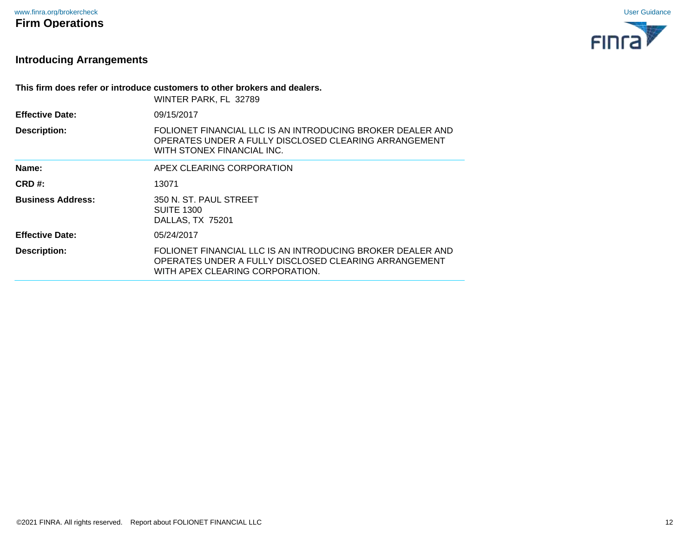

# **Introducing Arrangements**

| This firm does refer or introduce customers to other brokers and dealers. |                                                                                                                                                        |
|---------------------------------------------------------------------------|--------------------------------------------------------------------------------------------------------------------------------------------------------|
|                                                                           | WINTER PARK, FL 32789                                                                                                                                  |
| <b>Effective Date:</b>                                                    | 09/15/2017                                                                                                                                             |
| <b>Description:</b>                                                       | FOLIONET FINANCIAL LLC IS AN INTRODUCING BROKER DEALER AND<br>OPERATES UNDER A FULLY DISCLOSED CLEARING ARRANGEMENT<br>WITH STONEX FINANCIAL INC.      |
| Name:                                                                     | APEX CLEARING CORPORATION                                                                                                                              |
| CRD#                                                                      | 13071                                                                                                                                                  |
| <b>Business Address:</b>                                                  | 350 N. ST. PAUL STREET<br><b>SUITE 1300</b><br>DALLAS, TX 75201                                                                                        |
| <b>Effective Date:</b>                                                    | 05/24/2017                                                                                                                                             |
| <b>Description:</b>                                                       | FOLIONET FINANCIAL LLC IS AN INTRODUCING BROKER DEALER AND<br>OPERATES UNDER A FULLY DISCLOSED CLEARING ARRANGEMENT<br>WITH APEX CLEARING CORPORATION. |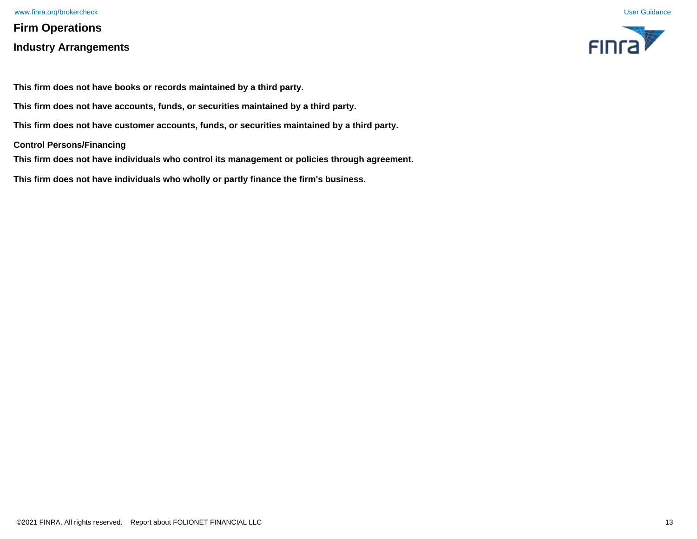# **Firm Operations Industry Arrangements**





**This firm does not have books or records maintained by a third party.**

**This firm does not have accounts, funds, or securities maintained by a third party.**

**This firm does not have customer accounts, funds, or securities maintained by a third party.**

**Control Persons/Financing**

**This firm does not have individuals who control its management or policies through agreement.**

**This firm does not have individuals who wholly or partly finance the firm's business.**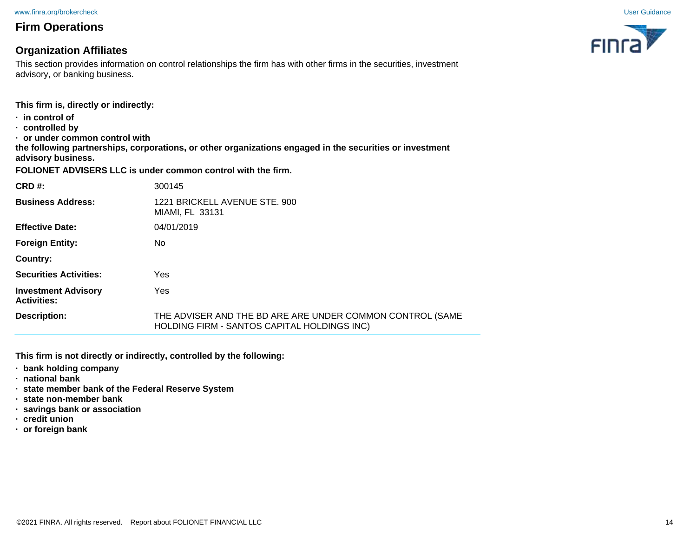#### **Organization Affiliates**

This section provides information on control relationships the firm has with other firms in the securities, investment advisory, or banking business.

**This firm is, directly or indirectly:**

- **· in control of**
- **· controlled by**
- **· or under common control with**

**the following partnerships, corporations, or other organizations engaged in the securities or investment advisory business.**

**FOLIONET ADVISERS LLC is under common control with the firm.**

| CRD#                                             | 300145                                                                                                   |
|--------------------------------------------------|----------------------------------------------------------------------------------------------------------|
| <b>Business Address:</b>                         | 1221 BRICKELL AVENUE STE. 900<br>MIAMI, FL 33131                                                         |
| <b>Effective Date:</b>                           | 04/01/2019                                                                                               |
| <b>Foreign Entity:</b>                           | No.                                                                                                      |
| Country:                                         |                                                                                                          |
| <b>Securities Activities:</b>                    | Yes                                                                                                      |
| <b>Investment Advisory</b><br><b>Activities:</b> | Yes                                                                                                      |
| Description:                                     | THE ADVISER AND THE BD ARE ARE UNDER COMMON CONTROL (SAME<br>HOLDING FIRM - SANTOS CAPITAL HOLDINGS INC) |

**This firm is not directly or indirectly, controlled by the following:**

- **· bank holding company**
- **· national bank**
- **· state member bank of the Federal Reserve System**
- **· state non-member bank**
- **· savings bank or association**
- **· credit union**
- **· or foreign bank**